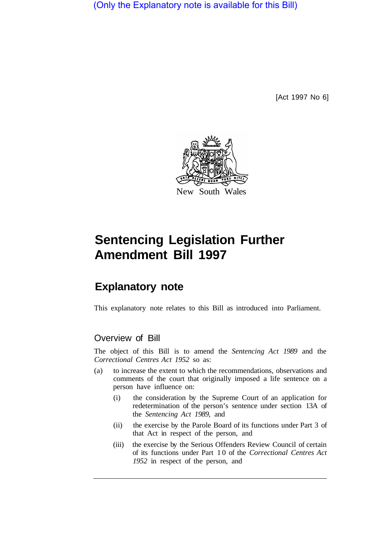(Only the Explanatory note is available for this Bill)

[Act 1997 No 6]



# **Sentencing Legislation Further Amendment Bill 1997**

## **Explanatory note**

This explanatory note relates to this Bill as introduced into Parliament.

### Overview of Bill

The object of this Bill is to amend the *Sentencing Act 1989* and the *Correctional Centres Act 1952* so as:

- (a) to increase the extent to which the recommendations, observations and comments of the court that originally imposed a life sentence on a person have influence on:
	- (i) the consideration by the Supreme Court of an application for redetermination of the person's sentence under section 13A of the *Sentencing Act 1989,* and
	- (ii) the exercise by the Parole Board of its functions under Part 3 of that Act in respect of the person, and
	- (iii) the exercise by the Serious Offenders Review Council of certain of its functions under Part 10 of the *Correctional Centres Act 1952* in respect of the person, and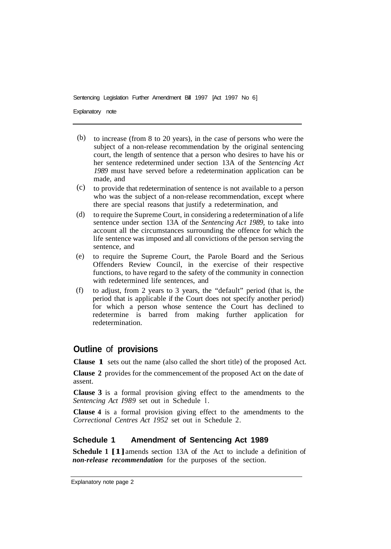Sentencing Legislation Further Amendment Bill 1997 [Act 1997 No 6]

Explanatory note

- to increase (from 8 to 20 years), in the case of persons who were the subject of a non-release recommendation by the original sentencing court, the length of sentence that a person who desires to have his or her sentence redetermined under section 13A of the *Sentencing Act 1989* must have served before a redetermination application can be made, and (b)
- to provide that redetermination of sentence is not available to a person who was the subject of a non-release recommendation, except where there are special reasons that justify a redetermination, and (c)
- to require the Supreme Court, in considering a redetermination of a life sentence under section 13A of the *Sentencing Act 1989,* to take into account all the circumstances surrounding the offence for which the life sentence was imposed and all convictions of the person serving the sentence, and (d)
- to require the Supreme Court, the Parole Board and the Serious Offenders Review Council, in the exercise of their respective functions, to have regard to the safety of the community in connection with redetermined life sentences, and (e)
- to adjust, from 2 years to 3 years, the "default" period (that is, the period that is applicable if the Court does not specify another period) for which a person whose sentence the Court has declined to redetermine is barred from making further application for redetermination. (f)

### **Outline** of **provisions**

**Clause 1** sets out the name (also called the short title) of the proposed Act.

**Clause 2** provides for the commencement of the proposed Act on the date of assent.

**Clause 3** is a formal provision giving effect to the amendments to the *Sentencing Act I989* set out in Schedule l.

**Clause 4** is a formal provision giving effect to the amendments to the *Correctional Centres Act 1952* set out in Schedule 2.

#### **Schedule 1 Amendment of Sentencing Act 1989**

**Schedule 1 [1]**amends section 13A of the Act to include a definition of *non-release recommendation* for the purposes of the section.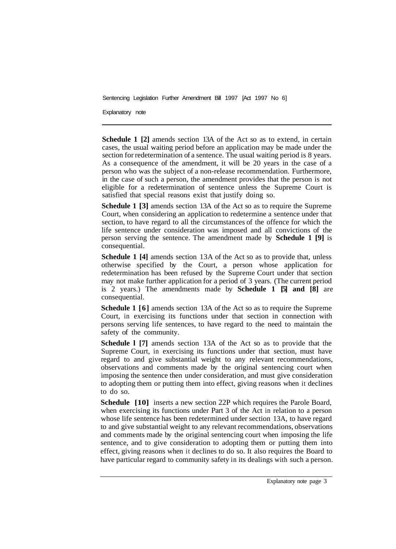Sentencing Legislation Further Amendment Bill 1997 [Act 1997 No 6]

Explanatory note

**Schedule 1 [2]** amends section 13A of the Act so as to extend, in certain cases, the usual waiting period before an application may be made under the section for redetermination of a sentence. The usual waiting period is 8 years. As a consequence of the amendment, it will be 20 years in the case of a person who was the subject of a non-release recommendation. Furthermore, in the case of such a person, the amendment provides that the person is not eligible for a redetermination of sentence unless the Supreme Court is satisfied that special reasons exist that justify doing so.

**Schedule 1 [3]** amends section 13A of the Act so as to require the Supreme Court, when considering an application to redetermine a sentence under that section, to have regard to all the circumstances of the offence for which the life sentence under consideration was imposed and all convictions of the person serving the sentence. The amendment made by **Schedule 1 [9]** is consequential.

**Schedule 1 [4]** amends section 13A of the Act so as to provide that, unless otherwise specified by the Court, a person whose application for redetermination has been refused by the Supreme Court under that section may not make further application for a period of 3 years. (The current period is 2 years.) The amendments made by **Schedule 1 [5] and [8]** are consequential.

**Schedule 1 [6]** amends section 13A of the Act so as to require the Supreme Court, in exercising its functions under that section in connection with persons serving life sentences, to have regard to the need to maintain the safety of the community.

**Schedule l [7]** amends section 13A of the Act so as to provide that the Supreme Court, in exercising its functions under that section, must have regard to and give substantial weight to any relevant recommendations, observations and comments made by the original sentencing court when imposing the sentence then under consideration, and must give consideration to adopting them or putting them into effect, giving reasons when it declines to do so.

**Schedule** [10] inserts a new section 22P which requires the Parole Board, when exercising its functions under Part 3 of the Act in relation to a person whose life sentence has been redetermined under section 13A, to have regard to and give substantial weight to any relevant recommendations, observations and comments made by the original sentencing court when imposing the life sentence, and to give consideration to adopting them or putting them into effect, giving reasons when it declines to do so. It also requires the Board to have particular regard to community safety in its dealings with such a person.